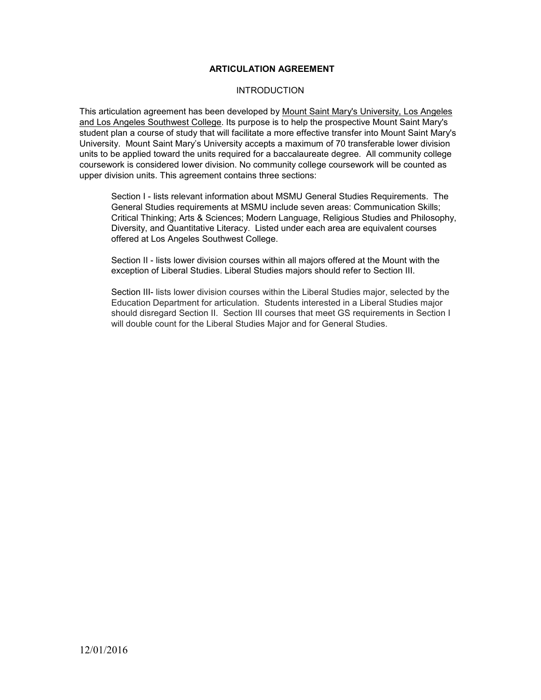## **ARTICULATION AGREEMENT**

#### **INTRODUCTION**

This articulation agreement has been developed by Mount Saint Mary's University, Los Angeles and Los Angeles Southwest College. Its purpose is to help the prospective Mount Saint Mary's student plan a course of study that will facilitate a more effective transfer into Mount Saint Mary's University. Mount Saint Mary's University accepts a maximum of 70 transferable lower division units to be applied toward the units required for a baccalaureate degree. All community college coursework is considered lower division. No community college coursework will be counted as upper division units. This agreement contains three sections:

Section I - lists relevant information about MSMU General Studies Requirements. The General Studies requirements at MSMU include seven areas: Communication Skills; Critical Thinking; Arts & Sciences; Modern Language, Religious Studies and Philosophy, Diversity, and Quantitative Literacy. Listed under each area are equivalent courses offered at Los Angeles Southwest College.

Section II - lists lower division courses within all majors offered at the Mount with the exception of Liberal Studies. Liberal Studies majors should refer to Section III.

Section III- lists lower division courses within the Liberal Studies major, selected by the Education Department for articulation. Students interested in a Liberal Studies major should disregard Section II. Section III courses that meet GS requirements in Section I will double count for the Liberal Studies Major and for General Studies.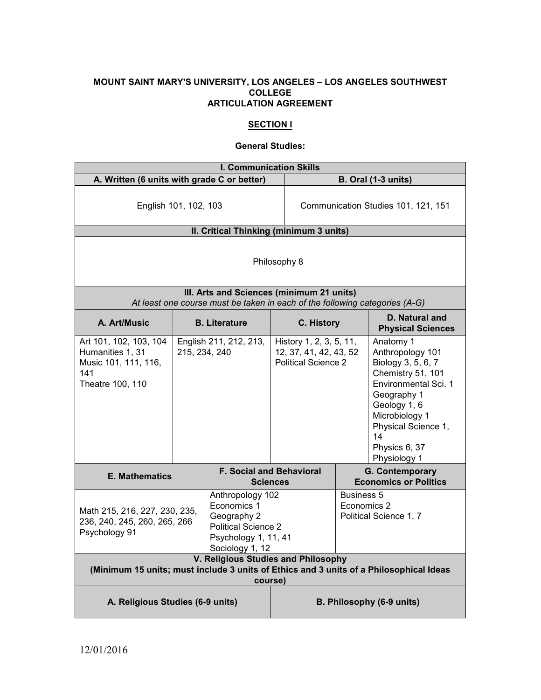#### **MOUNT SAINT MARY'S UNIVERSITY, LOS ANGELES – LOS ANGELES SOUTHWEST COLLEGE ARTICULATION AGREEMENT**

## **SECTION I**

## **General Studies:**

| <b>I. Communication Skills</b>                                                                                                           |                      |                                                                                                                         |                                                                                 |                                  |                                                                                                                                                                                                                 |
|------------------------------------------------------------------------------------------------------------------------------------------|----------------------|-------------------------------------------------------------------------------------------------------------------------|---------------------------------------------------------------------------------|----------------------------------|-----------------------------------------------------------------------------------------------------------------------------------------------------------------------------------------------------------------|
| A. Written (6 units with grade C or better)                                                                                              |                      |                                                                                                                         | B. Oral (1-3 units)                                                             |                                  |                                                                                                                                                                                                                 |
| English 101, 102, 103                                                                                                                    |                      | Communication Studies 101, 121, 151                                                                                     |                                                                                 |                                  |                                                                                                                                                                                                                 |
|                                                                                                                                          |                      | II. Critical Thinking (minimum 3 units)                                                                                 |                                                                                 |                                  |                                                                                                                                                                                                                 |
| Philosophy 8<br>III. Arts and Sciences (minimum 21 units)                                                                                |                      |                                                                                                                         |                                                                                 |                                  |                                                                                                                                                                                                                 |
|                                                                                                                                          |                      | At least one course must be taken in each of the following categories (A-G)                                             |                                                                                 |                                  |                                                                                                                                                                                                                 |
| A. Art/Music                                                                                                                             | <b>B.</b> Literature |                                                                                                                         | C. History                                                                      |                                  | D. Natural and<br><b>Physical Sciences</b>                                                                                                                                                                      |
| Art 101, 102, 103, 104<br>Humanities 1, 31<br>Music 101, 111, 116,<br>141<br>Theatre 100, 110                                            | 215, 234, 240        | English 211, 212, 213,                                                                                                  | History 1, 2, 3, 5, 11,<br>12, 37, 41, 42, 43, 52<br><b>Political Science 2</b> |                                  | Anatomy 1<br>Anthropology 101<br>Biology 3, 5, 6, 7<br>Chemistry 51, 101<br>Environmental Sci. 1<br>Geography 1<br>Geology 1, 6<br>Microbiology 1<br>Physical Science 1,<br>14<br>Physics 6, 37<br>Physiology 1 |
| <b>E. Mathematics</b>                                                                                                                    |                      |                                                                                                                         | <b>F. Social and Behavioral</b><br><b>Sciences</b>                              |                                  | <b>G. Contemporary</b><br><b>Economics or Politics</b>                                                                                                                                                          |
| Math 215, 216, 227, 230, 235,<br>236, 240, 245, 260, 265, 266<br>Psychology 91                                                           |                      | Anthropology 102<br>Economics 1<br>Geography 2<br><b>Political Science 2</b><br>Psychology 1, 11, 41<br>Sociology 1, 12 |                                                                                 | <b>Business 5</b><br>Economics 2 | Political Science 1, 7                                                                                                                                                                                          |
| V. Religious Studies and Philosophy<br>(Minimum 15 units; must include 3 units of Ethics and 3 units of a Philosophical Ideas<br>course) |                      |                                                                                                                         |                                                                                 |                                  |                                                                                                                                                                                                                 |
| A. Religious Studies (6-9 units)<br>B. Philosophy (6-9 units)                                                                            |                      |                                                                                                                         |                                                                                 |                                  |                                                                                                                                                                                                                 |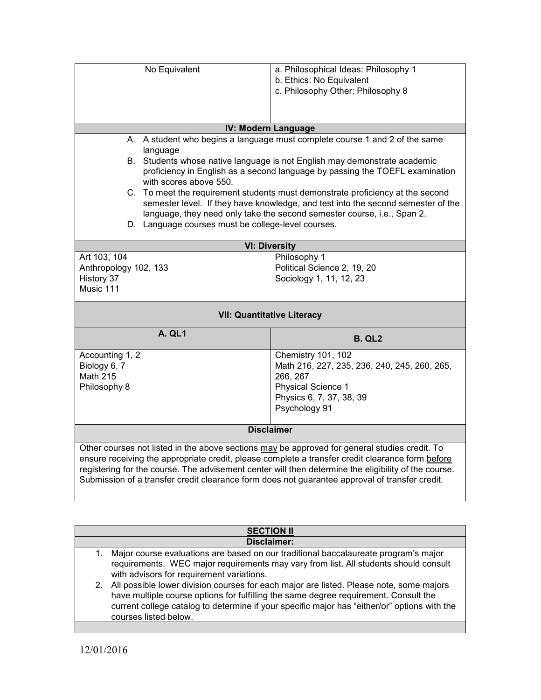| No Equivalent                                                                                        | a. Philosophical Ideas: Philosophy 1                                             |  |  |
|------------------------------------------------------------------------------------------------------|----------------------------------------------------------------------------------|--|--|
|                                                                                                      | b. Ethics: No Equivalent                                                         |  |  |
|                                                                                                      | c. Philosophy Other: Philosophy 8                                                |  |  |
|                                                                                                      |                                                                                  |  |  |
|                                                                                                      |                                                                                  |  |  |
|                                                                                                      |                                                                                  |  |  |
|                                                                                                      | IV: Modern Language                                                              |  |  |
|                                                                                                      | A. A student who begins a language must complete course 1 and 2 of the same      |  |  |
| language                                                                                             |                                                                                  |  |  |
|                                                                                                      | B. Students whose native language is not English may demonstrate academic        |  |  |
|                                                                                                      | proficiency in English as a second language by passing the TOEFL examination     |  |  |
| with scores above 550.                                                                               |                                                                                  |  |  |
|                                                                                                      | C. To meet the requirement students must demonstrate proficiency at the second   |  |  |
|                                                                                                      | semester level. If they have knowledge, and test into the second semester of the |  |  |
|                                                                                                      | language, they need only take the second semester course, i.e., Span 2.          |  |  |
| D. Language courses must be college-level courses.                                                   |                                                                                  |  |  |
|                                                                                                      |                                                                                  |  |  |
|                                                                                                      | <b>VI: Diversity</b>                                                             |  |  |
| Art 103, 104                                                                                         | Philosophy 1                                                                     |  |  |
| Anthropology 102, 133                                                                                | Political Science 2, 19, 20                                                      |  |  |
| History 37                                                                                           | Sociology 1, 11, 12, 23                                                          |  |  |
| Music 111                                                                                            |                                                                                  |  |  |
|                                                                                                      |                                                                                  |  |  |
|                                                                                                      | <b>VII: Quantitative Literacy</b>                                                |  |  |
| A. QL1                                                                                               | <b>B. QL2</b>                                                                    |  |  |
| Accounting 1, 2                                                                                      | Chemistry 101, 102                                                               |  |  |
| Biology 6, 7                                                                                         | Math 216, 227, 235, 236, 240, 245, 260, 265,                                     |  |  |
| <b>Math 215</b>                                                                                      | 266, 267                                                                         |  |  |
| Philosophy 8                                                                                         | <b>Physical Science 1</b>                                                        |  |  |
|                                                                                                      | Physics 6, 7, 37, 38, 39                                                         |  |  |
|                                                                                                      | Psychology 91                                                                    |  |  |
|                                                                                                      |                                                                                  |  |  |
| <b>Disclaimer</b>                                                                                    |                                                                                  |  |  |
| Other courses not listed in the above sections may be approved for general studies credit. To        |                                                                                  |  |  |
| ensure receiving the appropriate credit, please complete a transfer credit clearance form before     |                                                                                  |  |  |
| registering for the course. The advisement center will then determine the eligibility of the course. |                                                                                  |  |  |
| Submission of a transfer credit clearance form does not guarantee approval of transfer credit.       |                                                                                  |  |  |
|                                                                                                      |                                                                                  |  |  |
|                                                                                                      |                                                                                  |  |  |
|                                                                                                      |                                                                                  |  |  |
| <b>SECTION II</b>                                                                                    |                                                                                  |  |  |
| <b>Disclaimer:</b>                                                                                   |                                                                                  |  |  |
| Major course evaluations are based on our traditional baccalaureate program's major<br>1.            |                                                                                  |  |  |

- requirements. WEC major requirements may vary from list. All students should consult with advisors for requirement variations. 2. All possible lower division courses for each major are listed. Please note, some majors
- have multiple course options for fulfilling the same degree requirement. Consult the current college catalog to determine if your specific major has "either/or" options with the courses listed below.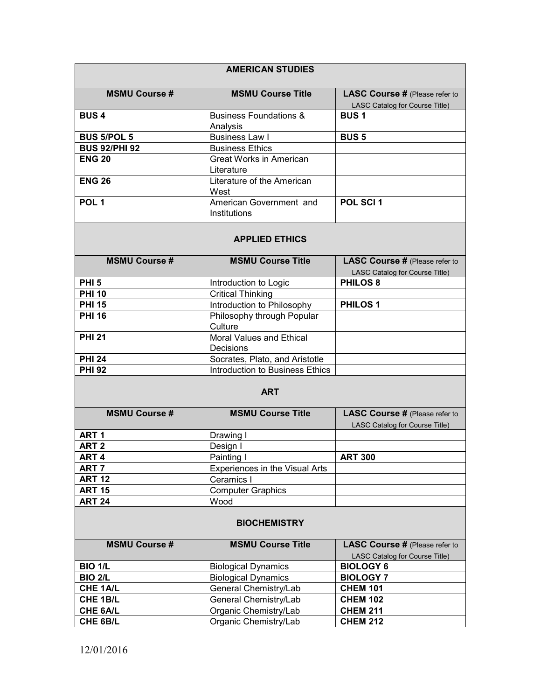| <b>AMERICAN STUDIES</b> |                                               |                                                                         |
|-------------------------|-----------------------------------------------|-------------------------------------------------------------------------|
| <b>MSMU Course #</b>    | <b>MSMU Course Title</b>                      | <b>LASC Course # (Please refer to</b><br>LASC Catalog for Course Title) |
| <b>BUS4</b>             | <b>Business Foundations &amp;</b><br>Analysis | <b>BUS1</b>                                                             |
| <b>BUS 5/POL 5</b>      | <b>Business Law I</b>                         | <b>BUS 5</b>                                                            |
| <b>BUS 92/PHI 92</b>    | <b>Business Ethics</b>                        |                                                                         |
| <b>ENG 20</b>           | Great Works in American<br>Literature         |                                                                         |
| <b>ENG 26</b>           | Literature of the American<br>West            |                                                                         |
| POL <sub>1</sub>        | American Government and<br>Institutions       | POL SCI <sub>1</sub>                                                    |

## **APPLIED ETHICS**

| <b>MSMU Course #</b> | <b>MSMU Course Title</b>        | <b>LASC Course # (Please refer to</b> |
|----------------------|---------------------------------|---------------------------------------|
|                      |                                 | LASC Catalog for Course Title)        |
| PHI <sub>5</sub>     | Introduction to Logic           | <b>PHILOS 8</b>                       |
| <b>PHI 10</b>        | <b>Critical Thinking</b>        |                                       |
| <b>PHI 15</b>        | Introduction to Philosophy      | <b>PHILOS1</b>                        |
| <b>PHI 16</b>        | Philosophy through Popular      |                                       |
|                      | Culture                         |                                       |
| <b>PHI 21</b>        | Moral Values and Ethical        |                                       |
|                      | Decisions                       |                                       |
| <b>PHI 24</b>        | Socrates, Plato, and Aristotle  |                                       |
| <b>PHI 92</b>        | Introduction to Business Ethics |                                       |

## **ART**

| <b>MSMU Course #</b> | <b>MSMU Course Title</b>       | <b>LASC Course # (Please refer to</b> |
|----------------------|--------------------------------|---------------------------------------|
|                      |                                | LASC Catalog for Course Title)        |
| ART <sub>1</sub>     | Drawing I                      |                                       |
| ART <sub>2</sub>     | Design I                       |                                       |
| ART <sub>4</sub>     | Painting I                     | <b>ART 300</b>                        |
| ART <sub>7</sub>     | Experiences in the Visual Arts |                                       |
| <b>ART 12</b>        | Ceramics I                     |                                       |
| <b>ART 15</b>        | <b>Computer Graphics</b>       |                                       |
| <b>ART 24</b>        | Wood                           |                                       |

#### **BIOCHEMISTRY**

| <b>MSMU Course #</b> | <b>MSMU Course Title</b>   | <b>LASC Course # (Please refer to</b> |  |
|----------------------|----------------------------|---------------------------------------|--|
|                      |                            | LASC Catalog for Course Title)        |  |
| <b>BIO 1/L</b>       | <b>Biological Dynamics</b> | <b>BIOLOGY 6</b>                      |  |
| <b>BIO 2/L</b>       | <b>Biological Dynamics</b> | <b>BIOLOGY 7</b>                      |  |
| CHE 1A/L             | General Chemistry/Lab      | <b>CHEM 101</b>                       |  |
| CHE 1B/L             | General Chemistry/Lab      | <b>CHEM 102</b>                       |  |
| <b>CHE 6A/L</b>      | Organic Chemistry/Lab      | <b>CHEM 211</b>                       |  |
| CHE 6B/L             | Organic Chemistry/Lab      | <b>CHEM 212</b>                       |  |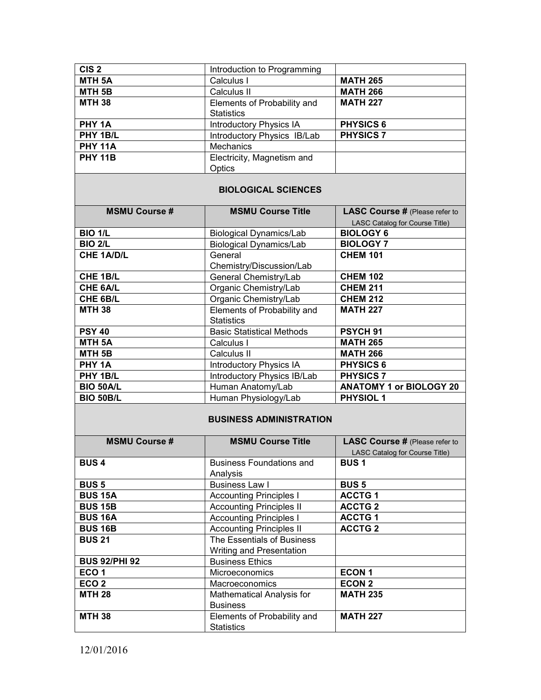| CIS <sub>2</sub>  | Introduction to Programming    |                  |
|-------------------|--------------------------------|------------------|
| MTH <sub>5A</sub> | Calculus I                     | <b>MATH 265</b>  |
| MTH <sub>5B</sub> | Calculus II                    | <b>MATH 266</b>  |
| <b>MTH 38</b>     | Elements of Probability and    | <b>MATH 227</b>  |
|                   | <b>Statistics</b>              |                  |
| PHY 1A            | <b>Introductory Physics IA</b> | <b>PHYSICS 6</b> |
| PHY 1B/L          | Introductory Physics IB/Lab    | <b>PHYSICS 7</b> |
| <b>PHY 11A</b>    | Mechanics                      |                  |
| <b>PHY 11B</b>    | Electricity, Magnetism and     |                  |
|                   | Optics                         |                  |

#### **BIOLOGICAL SCIENCES**

| <b>MSMU Course #</b> | <b>MSMU Course Title</b>         | <b>LASC Course # (Please refer to</b> |  |
|----------------------|----------------------------------|---------------------------------------|--|
|                      |                                  | LASC Catalog for Course Title)        |  |
| <b>BIO 1/L</b>       | <b>Biological Dynamics/Lab</b>   | <b>BIOLOGY 6</b>                      |  |
| <b>BIO 2/L</b>       | <b>Biological Dynamics/Lab</b>   | <b>BIOLOGY 7</b>                      |  |
| <b>CHE 1A/D/L</b>    | General                          | <b>CHEM 101</b>                       |  |
|                      | Chemistry/Discussion/Lab         |                                       |  |
| CHE 1B/L             | General Chemistry/Lab            | <b>CHEM 102</b>                       |  |
| <b>CHE 6A/L</b>      | Organic Chemistry/Lab            | <b>CHEM 211</b>                       |  |
| CHE 6B/L             | Organic Chemistry/Lab            | <b>CHEM 212</b>                       |  |
| <b>MTH 38</b>        | Elements of Probability and      | <b>MATH 227</b>                       |  |
|                      | <b>Statistics</b>                |                                       |  |
| <b>PSY 40</b>        | <b>Basic Statistical Methods</b> | PSYCH <sub>91</sub>                   |  |
| <b>MTH 5A</b>        | Calculus I                       | <b>MATH 265</b>                       |  |
| MTH <sub>5B</sub>    | Calculus II                      | <b>MATH 266</b>                       |  |
| PHY 1A               | <b>Introductory Physics IA</b>   | <b>PHYSICS 6</b>                      |  |
| PHY 1B/L             | Introductory Physics IB/Lab      | <b>PHYSICS 7</b>                      |  |
| <b>BIO 50A/L</b>     | Human Anatomy/Lab                | <b>ANATOMY 1 or BIOLOGY 20</b>        |  |
| <b>BIO 50B/L</b>     | Human Physiology/Lab             | <b>PHYSIOL 1</b>                      |  |

## **BUSINESS ADMINISTRATION**

| <b>MSMU Course #</b> | <b>MSMU Course Title</b>         | <b>LASC Course # (Please refer to</b> |
|----------------------|----------------------------------|---------------------------------------|
|                      |                                  | LASC Catalog for Course Title)        |
| <b>BUS4</b>          | <b>Business Foundations and</b>  | <b>BUS1</b>                           |
|                      | Analysis                         |                                       |
| <b>BUS 5</b>         | <b>Business Law I</b>            | <b>BUS 5</b>                          |
| <b>BUS 15A</b>       | <b>Accounting Principles I</b>   | <b>ACCTG1</b>                         |
| <b>BUS 15B</b>       | <b>Accounting Principles II</b>  | <b>ACCTG2</b>                         |
| <b>BUS 16A</b>       | <b>Accounting Principles I</b>   | <b>ACCTG1</b>                         |
| <b>BUS 16B</b>       | <b>Accounting Principles II</b>  | <b>ACCTG2</b>                         |
| <b>BUS 21</b>        | The Essentials of Business       |                                       |
|                      | Writing and Presentation         |                                       |
| <b>BUS 92/PHI 92</b> | <b>Business Ethics</b>           |                                       |
| ECO <sub>1</sub>     | <b>Microeconomics</b>            | <b>ECON1</b>                          |
| ECO <sub>2</sub>     | Macroeconomics                   | <b>ECON 2</b>                         |
| <b>MTH 28</b>        | <b>Mathematical Analysis for</b> | <b>MATH 235</b>                       |
|                      | <b>Business</b>                  |                                       |
| <b>MTH 38</b>        | Elements of Probability and      | <b>MATH 227</b>                       |
|                      | <b>Statistics</b>                |                                       |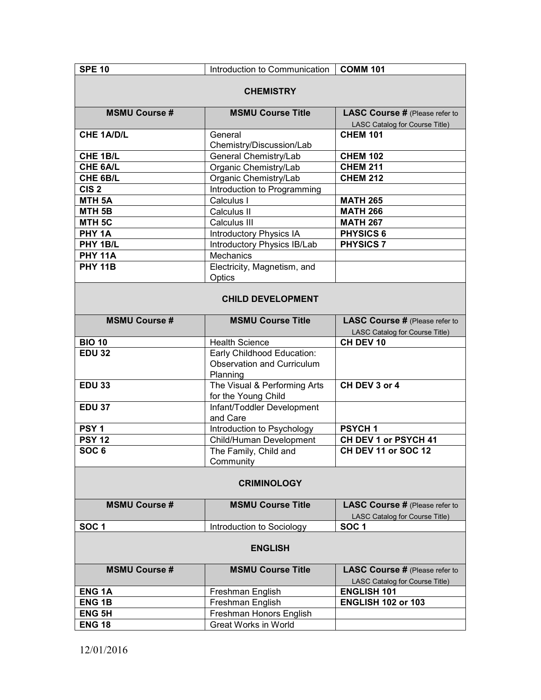| <b>SPE 10</b>        | Introduction to Communication      | <b>COMM 101</b>                             |  |  |
|----------------------|------------------------------------|---------------------------------------------|--|--|
|                      |                                    |                                             |  |  |
| <b>CHEMISTRY</b>     |                                    |                                             |  |  |
| <b>MSMU Course #</b> | <b>MSMU Course Title</b>           | <b>LASC Course # (Please refer to</b>       |  |  |
|                      |                                    | LASC Catalog for Course Title)              |  |  |
| <b>CHE 1A/D/L</b>    | General                            | <b>CHEM 101</b>                             |  |  |
|                      | Chemistry/Discussion/Lab           |                                             |  |  |
| CHE 1B/L             | General Chemistry/Lab              | <b>CHEM 102</b>                             |  |  |
| CHE 6A/L             | Organic Chemistry/Lab              | <b>CHEM 211</b>                             |  |  |
| CHE 6B/L             | Organic Chemistry/Lab              | <b>CHEM 212</b>                             |  |  |
| CIS <sub>2</sub>     | Introduction to Programming        |                                             |  |  |
| MTH <sub>5A</sub>    | Calculus I                         | <b>MATH 265</b>                             |  |  |
| MTH <sub>5B</sub>    | Calculus II                        | <b>MATH 266</b>                             |  |  |
| MTH <sub>5C</sub>    | Calculus III                       | <b>MATH 267</b>                             |  |  |
| PHY <sub>1A</sub>    | <b>Introductory Physics IA</b>     | <b>PHYSICS 6</b>                            |  |  |
| PHY 1B/L             | Introductory Physics IB/Lab        | <b>PHYSICS 7</b>                            |  |  |
| <b>PHY 11A</b>       | <b>Mechanics</b>                   |                                             |  |  |
| <b>PHY 11B</b>       | Electricity, Magnetism, and        |                                             |  |  |
|                      | Optics                             |                                             |  |  |
|                      |                                    |                                             |  |  |
|                      | <b>CHILD DEVELOPMENT</b>           |                                             |  |  |
|                      |                                    |                                             |  |  |
| <b>MSMU Course #</b> | <b>MSMU Course Title</b>           | <b>LASC Course # (Please refer to</b>       |  |  |
|                      |                                    | LASC Catalog for Course Title)              |  |  |
| <b>BIO 10</b>        | <b>Health Science</b>              | CH DEV 10                                   |  |  |
| <b>EDU 32</b>        | Early Childhood Education:         |                                             |  |  |
|                      | <b>Observation and Curriculum</b>  |                                             |  |  |
|                      | Planning                           |                                             |  |  |
| <b>EDU 33</b>        | The Visual & Performing Arts       | CH DEV 3 or 4                               |  |  |
|                      | for the Young Child                |                                             |  |  |
| <b>EDU 37</b>        | Infant/Toddler Development         |                                             |  |  |
| PSY <sub>1</sub>     | and Care                           | <b>PSYCH1</b>                               |  |  |
| <b>PSY 12</b>        | Introduction to Psychology         |                                             |  |  |
| SOC <sub>6</sub>     | Child/Human Development            | CH DEV 1 or PSYCH 41<br>CH DEV 11 or SOC 12 |  |  |
|                      | The Family, Child and<br>Community |                                             |  |  |
|                      |                                    |                                             |  |  |
|                      | <b>CRIMINOLOGY</b>                 |                                             |  |  |
|                      |                                    |                                             |  |  |
| <b>MSMU Course #</b> | <b>MSMU Course Title</b>           | <b>LASC Course # (Please refer to</b>       |  |  |
|                      |                                    | LASC Catalog for Course Title)              |  |  |
| SOC <sub>1</sub>     | Introduction to Sociology          | SOC <sub>1</sub>                            |  |  |
|                      |                                    |                                             |  |  |
| <b>ENGLISH</b>       |                                    |                                             |  |  |
| <b>MSMU Course #</b> | <b>MSMU Course Title</b>           | <b>LASC Course # (Please refer to</b>       |  |  |
|                      |                                    | LASC Catalog for Course Title)              |  |  |
| <b>ENG1A</b>         | Freshman English                   | <b>ENGLISH 101</b>                          |  |  |
| <b>ENG1B</b>         | Freshman English                   | <b>ENGLISH 102 or 103</b>                   |  |  |
| <b>ENG 5H</b>        | Freshman Honors English            |                                             |  |  |
| <b>ENG 18</b>        | <b>Great Works in World</b>        |                                             |  |  |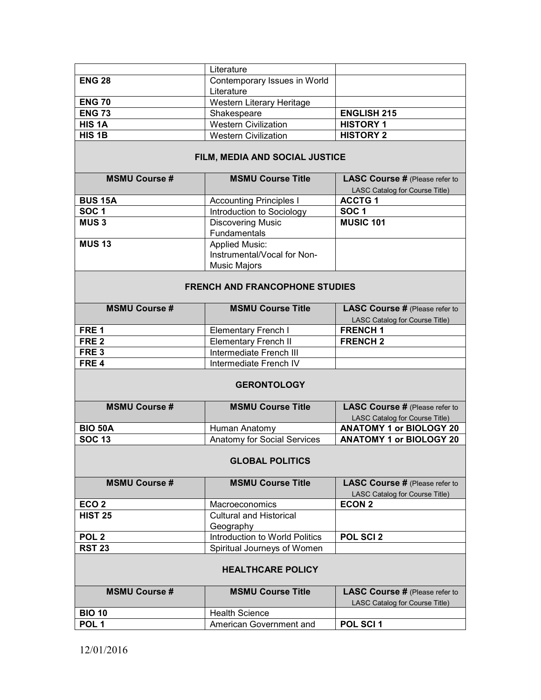|               | Literature                   |                    |
|---------------|------------------------------|--------------------|
| <b>ENG 28</b> | Contemporary Issues in World |                    |
|               | Literature                   |                    |
| <b>ENG 70</b> | Western Literary Heritage    |                    |
| <b>ENG 73</b> | Shakespeare                  | <b>ENGLISH 215</b> |
| <b>HIS 1A</b> | <b>Western Civilization</b>  | <b>HISTORY 1</b>   |
| HIS 1B        | <b>Western Civilization</b>  | <b>HISTORY 2</b>   |

# **FILM, MEDIA AND SOCIAL JUSTICE**

| <b>MSMU Course #</b> | <b>MSMU Course Title</b>       | <b>LASC Course # (Please refer to</b> |
|----------------------|--------------------------------|---------------------------------------|
|                      |                                | LASC Catalog for Course Title)        |
| <b>BUS 15A</b>       | <b>Accounting Principles I</b> | <b>ACCTG1</b>                         |
| SOC <sub>1</sub>     | Introduction to Sociology      | SOC <sub>1</sub>                      |
| <b>MUS3</b>          | <b>Discovering Music</b>       | <b>MUSIC 101</b>                      |
|                      | Fundamentals                   |                                       |
| <b>MUS 13</b>        | <b>Applied Music:</b>          |                                       |
|                      | Instrumental/Vocal for Non-    |                                       |
|                      | <b>Music Majors</b>            |                                       |

## **FRENCH AND FRANCOPHONE STUDIES**

| <b>MSMU Course #</b> | <b>MSMU Course Title</b> | <b>LASC Course # (Please refer to</b> |
|----------------------|--------------------------|---------------------------------------|
|                      |                          | LASC Catalog for Course Title)        |
| FRE 1                | Elementary French I      | <b>FRENCH1</b>                        |
| FRE 2                | Elementary French II     | <b>FRENCH 2</b>                       |
| FRE 3                | Intermediate French III  |                                       |
| FRE 4                | Intermediate French IV   |                                       |

#### **GERONTOLOGY**

| <b>MSMU Course #</b> | <b>MSMU Course Title</b>    | <b>LASC Course # (Please refer to</b> |
|----------------------|-----------------------------|---------------------------------------|
|                      |                             | LASC Catalog for Course Title)        |
| <b>BIO 50A</b>       | Human Anatomy               | <b>ANATOMY 1 or BIOLOGY 20</b>        |
| <b>SOC 13</b>        | Anatomy for Social Services | <b>ANATOMY 1 or BIOLOGY 20</b>        |

#### **GLOBAL POLITICS**

| <b>MSMU Course #</b> | <b>MSMU Course Title</b>       | <b>LASC Course # (Please refer to</b> |
|----------------------|--------------------------------|---------------------------------------|
|                      |                                | LASC Catalog for Course Title)        |
| ECO <sub>2</sub>     | <b>Macroeconomics</b>          | ECON <sub>2</sub>                     |
| <b>HIST 25</b>       | <b>Cultural and Historical</b> |                                       |
|                      | Geography                      |                                       |
| POL <sub>2</sub>     | Introduction to World Politics | <b>POL SCI 2</b>                      |
| <b>RST 23</b>        | Spiritual Journeys of Women    |                                       |

### **HEALTHCARE POLICY**

| <b>MSMU Course #</b> | <b>MSMU Course Title</b> | <b>LASC Course # (Please refer to</b><br>LASC Catalog for Course Title) |
|----------------------|--------------------------|-------------------------------------------------------------------------|
| <b>BIO 10</b>        | <b>Health Science</b>    |                                                                         |
| POL <sub>1</sub>     | American Government and  | <b>POL SCI 1</b>                                                        |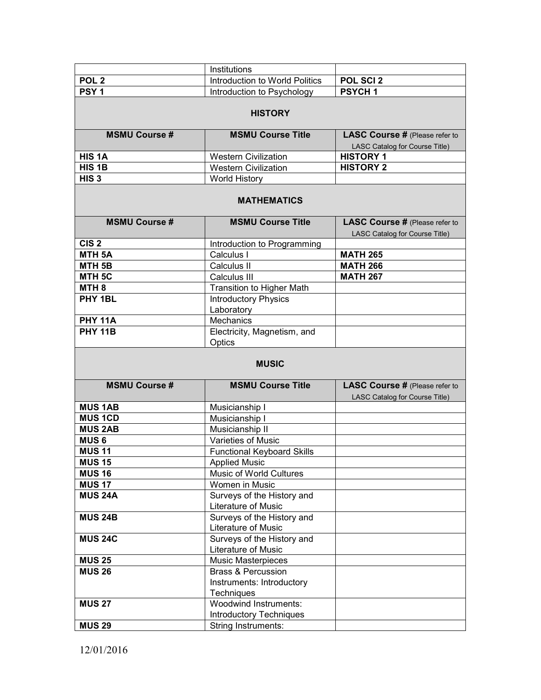|                                 | Institutions                                                 |                                                                         |
|---------------------------------|--------------------------------------------------------------|-------------------------------------------------------------------------|
| POL <sub>2</sub>                | Introduction to World Politics                               | POL SCI 2                                                               |
| PSY <sub>1</sub>                | Introduction to Psychology                                   | PSYCH <sub>1</sub>                                                      |
|                                 |                                                              |                                                                         |
| <b>HISTORY</b>                  |                                                              |                                                                         |
| <b>MSMU Course#</b>             | <b>MSMU Course Title</b>                                     | <b>LASC Course # (Please refer to</b><br>LASC Catalog for Course Title) |
| HIS <sub>1</sub> A              | <b>Western Civilization</b>                                  | <b>HISTORY 1</b>                                                        |
| HIS <sub>1B</sub>               | <b>Western Civilization</b>                                  | <b>HISTORY 2</b>                                                        |
| HIS <sub>3</sub>                | <b>World History</b>                                         |                                                                         |
| <b>MATHEMATICS</b>              |                                                              |                                                                         |
| <b>MSMU Course#</b>             | <b>MSMU Course Title</b>                                     | <b>LASC Course # (Please refer to</b><br>LASC Catalog for Course Title) |
| CIS <sub>2</sub>                | Introduction to Programming                                  |                                                                         |
| <b>MTH 5A</b>                   | Calculus I                                                   | <b>MATH 265</b>                                                         |
| MTH <sub>5B</sub>               | Calculus II                                                  | <b>MATH 266</b>                                                         |
| MTH <sub>5C</sub>               | Calculus III                                                 | <b>MATH 267</b>                                                         |
| MTH <sub>8</sub>                | <b>Transition to Higher Math</b>                             |                                                                         |
| PHY 1BL                         | <b>Introductory Physics</b>                                  |                                                                         |
|                                 | Laboratory                                                   |                                                                         |
| <b>PHY 11A</b>                  | Mechanics                                                    |                                                                         |
| <b>PHY 11B</b>                  | Electricity, Magnetism, and<br>Optics                        |                                                                         |
| <b>MUSIC</b>                    |                                                              |                                                                         |
|                                 |                                                              |                                                                         |
| <b>MSMU Course#</b>             | <b>MSMU Course Title</b>                                     | <b>LASC Course # (Please refer to</b>                                   |
|                                 |                                                              | LASC Catalog for Course Title)                                          |
| <b>MUS 1AB</b><br><b>MUS1CD</b> | Musicianship I                                               |                                                                         |
|                                 | Musicianship I                                               |                                                                         |
| <b>MUS 2AB</b><br><b>MUS6</b>   | Musicianship II<br>Varieties of Music                        |                                                                         |
| <b>MUS 11</b>                   |                                                              |                                                                         |
| <b>MUS 15</b>                   | <b>Functional Keyboard Skills</b><br><b>Applied Music</b>    |                                                                         |
| <b>MUS 16</b>                   | Music of World Cultures                                      |                                                                         |
| <b>MUS 17</b>                   | Women in Music                                               |                                                                         |
| <b>MUS 24A</b>                  | Surveys of the History and                                   |                                                                         |
|                                 | Literature of Music                                          |                                                                         |
| <b>MUS 24B</b>                  | Surveys of the History and                                   |                                                                         |
|                                 | Literature of Music                                          |                                                                         |
| <b>MUS 24C</b>                  | Surveys of the History and                                   |                                                                         |
|                                 | Literature of Music                                          |                                                                         |
| <b>MUS 25</b>                   | <b>Music Masterpieces</b>                                    |                                                                         |
| <b>MUS 26</b>                   | <b>Brass &amp; Percussion</b>                                |                                                                         |
|                                 | Instruments: Introductory                                    |                                                                         |
|                                 | Techniques                                                   |                                                                         |
| <b>MUS 27</b>                   | Woodwind Instruments:                                        |                                                                         |
| <b>MUS 29</b>                   | <b>Introductory Techniques</b><br><b>String Instruments:</b> |                                                                         |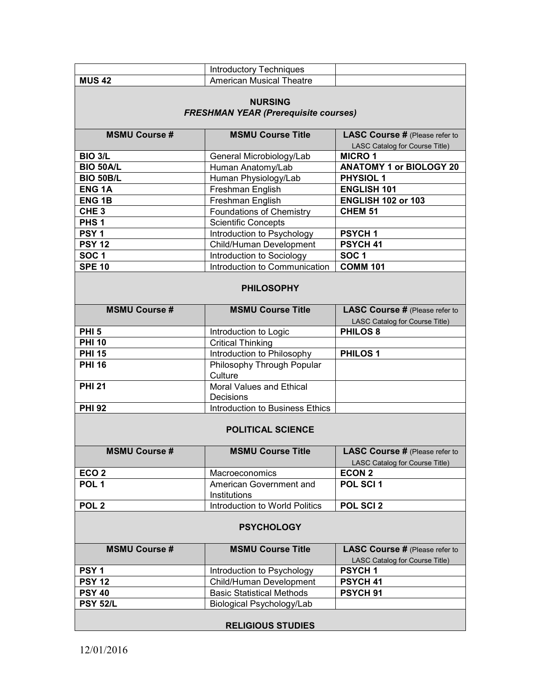|                                                               | <b>Introductory Techniques</b>   |                                                                         |
|---------------------------------------------------------------|----------------------------------|-------------------------------------------------------------------------|
| <b>MUS 42</b>                                                 | <b>American Musical Theatre</b>  |                                                                         |
|                                                               |                                  |                                                                         |
| <b>NURSING</b><br><b>FRESHMAN YEAR (Prerequisite courses)</b> |                                  |                                                                         |
|                                                               |                                  |                                                                         |
| <b>MSMU Course #</b>                                          | <b>MSMU Course Title</b>         | <b>LASC Course # (Please refer to</b><br>LASC Catalog for Course Title) |
| <b>BIO 3/L</b>                                                | General Microbiology/Lab         | <b>MICRO1</b>                                                           |
| <b>BIO 50A/L</b>                                              | Human Anatomy/Lab                | <b>ANATOMY 1 or BIOLOGY 20</b>                                          |
| <b>BIO 50B/L</b>                                              | Human Physiology/Lab             | <b>PHYSIOL 1</b>                                                        |
| <b>ENG1A</b>                                                  | Freshman English                 | <b>ENGLISH 101</b>                                                      |
| <b>ENG1B</b>                                                  | Freshman English                 | <b>ENGLISH 102 or 103</b>                                               |
| CHE <sub>3</sub>                                              | <b>Foundations of Chemistry</b>  | <b>CHEM 51</b>                                                          |
| PHS <sub>1</sub>                                              | <b>Scientific Concepts</b>       |                                                                         |
| PSY <sub>1</sub>                                              | Introduction to Psychology       | <b>PSYCH1</b>                                                           |
| <b>PSY 12</b>                                                 | Child/Human Development          | PSYCH 41                                                                |
| SOC <sub>1</sub>                                              | Introduction to Sociology        | SOC <sub>1</sub>                                                        |
| <b>SPE 10</b>                                                 | Introduction to Communication    | <b>COMM 101</b>                                                         |
|                                                               |                                  |                                                                         |
| <b>PHILOSOPHY</b>                                             |                                  |                                                                         |
| <b>MSMU Course #</b>                                          | <b>MSMU Course Title</b>         | <b>LASC Course # (Please refer to</b>                                   |
|                                                               |                                  | LASC Catalog for Course Title)                                          |
| <b>PHI 5</b>                                                  | Introduction to Logic            | <b>PHILOS 8</b>                                                         |
| <b>PHI 10</b>                                                 | <b>Critical Thinking</b>         |                                                                         |
| <b>PHI 15</b>                                                 | Introduction to Philosophy       | <b>PHILOS1</b>                                                          |
| <b>PHI 16</b>                                                 | Philosophy Through Popular       |                                                                         |
|                                                               | Culture                          |                                                                         |
| <b>PHI 21</b>                                                 | <b>Moral Values and Ethical</b>  |                                                                         |
|                                                               | Decisions                        |                                                                         |
| <b>PHI 92</b>                                                 | Introduction to Business Ethics  |                                                                         |
| <b>POLITICAL SCIENCE</b>                                      |                                  |                                                                         |
| <b>MSMU Course #</b>                                          | <b>MSMU Course Title</b>         | <b>LASC Course # (Please refer to</b>                                   |
| ECO <sub>2</sub>                                              | Macroeconomics                   | LASC Catalog for Course Title)<br><b>ECON 2</b>                         |
| POL <sub>1</sub>                                              | American Government and          | POL SCI 1                                                               |
|                                                               | Institutions                     |                                                                         |
| POL <sub>2</sub>                                              | Introduction to World Politics   | POL SCI 2                                                               |
|                                                               |                                  |                                                                         |
| <b>PSYCHOLOGY</b>                                             |                                  |                                                                         |
| <b>MSMU Course #</b>                                          | <b>MSMU Course Title</b>         | <b>LASC Course # (Please refer to</b>                                   |
|                                                               |                                  | LASC Catalog for Course Title)                                          |
| PSY <sub>1</sub>                                              | Introduction to Psychology       | <b>PSYCH1</b>                                                           |
| <b>PSY 12</b>                                                 | Child/Human Development          | PSYCH 41                                                                |
| <b>PSY 40</b>                                                 | <b>Basic Statistical Methods</b> | PSYCH <sub>91</sub>                                                     |
| <b>PSY 52/L</b>                                               | Biological Psychology/Lab        |                                                                         |
| <b>RELIGIOUS STUDIES</b>                                      |                                  |                                                                         |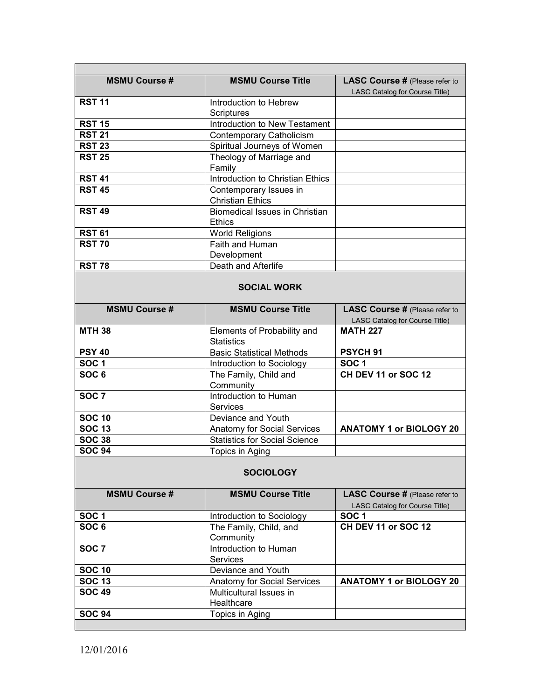| <b>MSMU Course #</b> | <b>MSMU Course Title</b>                               | <b>LASC Course # (Please refer to</b><br>LASC Catalog for Course Title) |  |
|----------------------|--------------------------------------------------------|-------------------------------------------------------------------------|--|
| <b>RST 11</b>        | Introduction to Hebrew                                 |                                                                         |  |
|                      | <b>Scriptures</b>                                      |                                                                         |  |
| <b>RST 15</b>        | Introduction to New Testament                          |                                                                         |  |
| <b>RST 21</b>        | Contemporary Catholicism                               |                                                                         |  |
| <b>RST 23</b>        | Spiritual Journeys of Women                            |                                                                         |  |
| <b>RST 25</b>        | Theology of Marriage and                               |                                                                         |  |
|                      | Family                                                 |                                                                         |  |
| <b>RST 41</b>        | Introduction to Christian Ethics                       |                                                                         |  |
| <b>RST 45</b>        | Contemporary Issues in<br><b>Christian Ethics</b>      |                                                                         |  |
| <b>RST 49</b>        | <b>Biomedical Issues in Christian</b><br><b>Ethics</b> |                                                                         |  |
| <b>RST 61</b>        | <b>World Religions</b>                                 |                                                                         |  |
| <b>RST 70</b>        | Faith and Human                                        |                                                                         |  |
|                      | Development                                            |                                                                         |  |
| <b>RST 78</b>        | Death and Afterlife                                    |                                                                         |  |
| <b>SOCIAL WORK</b>   |                                                        |                                                                         |  |
| <b>MSMU Course #</b> | <b>MSMU Course Title</b>                               | <b>LASC Course # (Please refer to</b><br>LASC Catalog for Course Title) |  |
| <b>MTH 38</b>        | Elements of Probability and                            | <b>MATH 227</b>                                                         |  |
|                      | <b>Statistics</b>                                      |                                                                         |  |
| <b>PSY 40</b>        | <b>Basic Statistical Methods</b>                       | PSYCH <sub>91</sub>                                                     |  |
| SOC <sub>1</sub>     | Introduction to Sociology                              | <b>SOC1</b>                                                             |  |
| SOC <sub>6</sub>     | The Family, Child and                                  | <b>CH DEV 11 or SOC 12</b>                                              |  |
|                      | Community                                              |                                                                         |  |
| SOC <sub>7</sub>     | Introduction to Human                                  |                                                                         |  |
|                      | <b>Services</b>                                        |                                                                         |  |
| <b>SOC 10</b>        | Deviance and Youth                                     |                                                                         |  |
| <b>SOC 13</b>        | Anatomy for Social Services                            | <b>ANATOMY 1 or BIOLOGY 20</b>                                          |  |
| <b>SOC 38</b>        | <b>Statistics for Social Science</b>                   |                                                                         |  |
| <b>SOC 94</b>        | Topics in Aging                                        |                                                                         |  |
| <b>SOCIOLOGY</b>     |                                                        |                                                                         |  |
| <b>MSMU Course #</b> | <b>MSMU Course Title</b>                               | <b>LASC Course # (Please refer to</b><br>LASC Catalog for Course Title) |  |
| SOC <sub>1</sub>     | Introduction to Sociology                              | SOC <sub>1</sub>                                                        |  |
| SOC <sub>6</sub>     | The Family, Child, and                                 | CH DEV 11 or SOC 12                                                     |  |
|                      | Community                                              |                                                                         |  |
| SOC <sub>7</sub>     | Introduction to Human<br>Services                      |                                                                         |  |
| <b>SOC 10</b>        | Deviance and Youth                                     |                                                                         |  |
| <b>SOC 13</b>        | Anatomy for Social Services                            | <b>ANATOMY 1 or BIOLOGY 20</b>                                          |  |
| <b>SOC 49</b>        | Multicultural Issues in<br>Healthcare                  |                                                                         |  |
| <b>SOC 94</b>        | Topics in Aging                                        |                                                                         |  |
|                      |                                                        |                                                                         |  |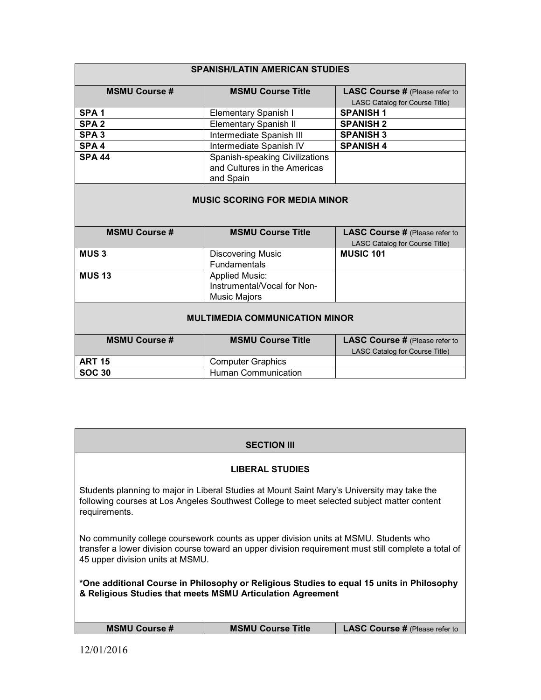| <b>SPANISH/LATIN AMERICAN STUDIES</b> |                                                                             |                                       |
|---------------------------------------|-----------------------------------------------------------------------------|---------------------------------------|
| <b>MSMU Course #</b>                  | <b>MSMU Course Title</b>                                                    | <b>LASC Course # (Please refer to</b> |
|                                       |                                                                             | LASC Catalog for Course Title)        |
| SPA <sub>1</sub>                      | <b>Elementary Spanish I</b>                                                 | <b>SPANISH1</b>                       |
| SPA <sub>2</sub>                      | <b>Elementary Spanish II</b>                                                | <b>SPANISH 2</b>                      |
| SPA <sub>3</sub>                      | Intermediate Spanish III                                                    | <b>SPANISH 3</b>                      |
| SPA <sub>4</sub>                      | Intermediate Spanish IV                                                     | <b>SPANISH 4</b>                      |
| <b>SPA 44</b>                         | Spanish-speaking Civilizations<br>and Cultures in the Americas<br>and Spain |                                       |
| <b>MUSIC SCORING FOR MEDIA MINOR</b>  |                                                                             |                                       |
| <b>MSMU Course #</b>                  | <b>MSMU Course Title</b>                                                    | <b>LASC Course # (Please refer to</b> |
|                                       |                                                                             | LASC Catalog for Course Title)        |
| <b>MUS3</b>                           | <b>Discovering Music</b><br><b>Fundamentals</b>                             | <b>MUSIC 101</b>                      |
| <b>MUS 13</b>                         | <b>Applied Music:</b><br>Instrumental/Vocal for Non-<br>Music Majors        |                                       |
| <b>MULTIMEDIA COMMUNICATION MINOR</b> |                                                                             |                                       |
| <b>MSMU Course #</b>                  | <b>MSMU Course Title</b>                                                    | <b>LASC Course # (Please refer to</b> |
|                                       |                                                                             | LASC Catalog for Course Title)        |
| <b>ART 15</b>                         | <b>Computer Graphics</b>                                                    |                                       |
| <b>SOC 30</b>                         | <b>Human Communication</b>                                                  |                                       |

| <b>SECTION III</b>                                                                                                                                                                                                               |                                                                                                                                                                                           |                                       |  |
|----------------------------------------------------------------------------------------------------------------------------------------------------------------------------------------------------------------------------------|-------------------------------------------------------------------------------------------------------------------------------------------------------------------------------------------|---------------------------------------|--|
| <b>LIBERAL STUDIES</b>                                                                                                                                                                                                           |                                                                                                                                                                                           |                                       |  |
| requirements.                                                                                                                                                                                                                    | Students planning to major in Liberal Studies at Mount Saint Mary's University may take the<br>following courses at Los Angeles Southwest College to meet selected subject matter content |                                       |  |
| No community college coursework counts as upper division units at MSMU. Students who<br>transfer a lower division course toward an upper division requirement must still complete a total of<br>45 upper division units at MSMU. |                                                                                                                                                                                           |                                       |  |
| *One additional Course in Philosophy or Religious Studies to equal 15 units in Philosophy<br>& Religious Studies that meets MSMU Articulation Agreement                                                                          |                                                                                                                                                                                           |                                       |  |
|                                                                                                                                                                                                                                  |                                                                                                                                                                                           |                                       |  |
| <b>MSMU Course #</b>                                                                                                                                                                                                             | <b>MSMU Course Title</b>                                                                                                                                                                  | <b>LASC Course # (Please refer to</b> |  |
|                                                                                                                                                                                                                                  |                                                                                                                                                                                           |                                       |  |

 $\overline{\phantom{a}}$ 

Г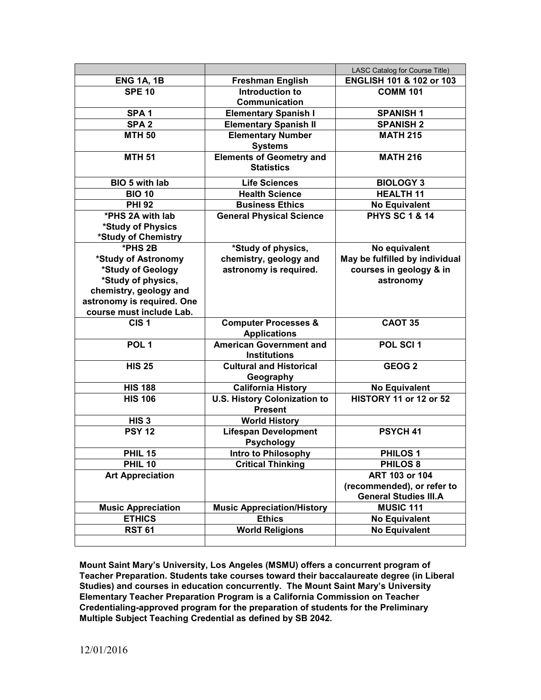|                            |                                                       | LASC Catalog for Course Title) |
|----------------------------|-------------------------------------------------------|--------------------------------|
| <b>ENG 1A, 1B</b>          | <b>Freshman English</b>                               | ENGLISH 101 & 102 or 103       |
| <b>SPE 10</b>              | Introduction to                                       | <b>COMM 101</b>                |
|                            | Communication                                         |                                |
| SPA <sub>1</sub>           | <b>Elementary Spanish I</b>                           | <b>SPANISH1</b>                |
| SPA <sub>2</sub>           | <b>Elementary Spanish II</b>                          | <b>SPANISH 2</b>               |
| <b>MTH 50</b>              | <b>Elementary Number</b>                              | <b>MATH 215</b>                |
|                            | <b>Systems</b>                                        |                                |
| <b>MTH 51</b>              | <b>Elements of Geometry and</b>                       | <b>MATH 216</b>                |
|                            | <b>Statistics</b>                                     |                                |
| BIO 5 with lab             | <b>Life Sciences</b>                                  | <b>BIOLOGY 3</b>               |
| <b>BIO 10</b>              | <b>Health Science</b>                                 | <b>HEALTH 11</b>               |
| <b>PHI 92</b>              | <b>Business Ethics</b>                                | <b>No Equivalent</b>           |
| *PHS 2A with lab           | <b>General Physical Science</b>                       | <b>PHYS SC 1 &amp; 14</b>      |
| *Study of Physics          |                                                       |                                |
| *Study of Chemistry        |                                                       |                                |
| $*$ PHS 2B                 | *Study of physics,                                    | No equivalent                  |
| *Study of Astronomy        | chemistry, geology and                                | May be fulfilled by individual |
| *Study of Geology          | astronomy is required.                                | courses in geology & in        |
| *Study of physics,         |                                                       | astronomy                      |
| chemistry, geology and     |                                                       |                                |
| astronomy is required. One |                                                       |                                |
| course must include Lab.   |                                                       |                                |
| CIS <sub>1</sub>           | <b>Computer Processes &amp;</b>                       | <b>CAOT 35</b>                 |
|                            | <b>Applications</b>                                   |                                |
| POL <sub>1</sub>           | <b>American Government and</b>                        | POL SCI 1                      |
|                            | <b>Institutions</b>                                   |                                |
| <b>HIS 25</b>              | <b>Cultural and Historical</b>                        | GEOG <sub>2</sub>              |
|                            | Geography                                             |                                |
| <b>HIS 188</b>             | <b>California History</b>                             | <b>No Equivalent</b>           |
| <b>HIS 106</b>             | <b>U.S. History Colonization to</b><br><b>Present</b> | <b>HISTORY 11 or 12 or 52</b>  |
| HIS <sub>3</sub>           | <b>World History</b>                                  |                                |
| <b>PSY 12</b>              | <b>Lifespan Development</b>                           | PSYCH <sub>41</sub>            |
|                            | <b>Psychology</b>                                     |                                |
| <b>PHIL 15</b>             | Intro to Philosophy                                   | <b>PHILOS1</b>                 |
| <b>PHIL 10</b>             | <b>Critical Thinking</b>                              | <b>PHILOS 8</b>                |
| <b>Art Appreciation</b>    |                                                       | ART 103 or 104                 |
|                            |                                                       | (recommended), or refer to     |
|                            |                                                       | <b>General Studies III.A</b>   |
| <b>Music Appreciation</b>  | <b>Music Appreciation/History</b>                     | <b>MUSIC 111</b>               |
| <b>ETHICS</b>              | <b>Ethics</b>                                         | <b>No Equivalent</b>           |
| <b>RST 61</b>              | <b>World Religions</b>                                | <b>No Equivalent</b>           |
|                            |                                                       |                                |

**Mount Saint Mary's University, Los Angeles (MSMU) offers a concurrent program of Teacher Preparation. Students take courses toward their baccalaureate degree (in Liberal Studies) and courses in education concurrently. The Mount Saint Mary's University Elementary Teacher Preparation Program is a California Commission on Teacher Credentialing-approved program for the preparation of students for the Preliminary Multiple Subject Teaching Credential as defined by SB 2042.**